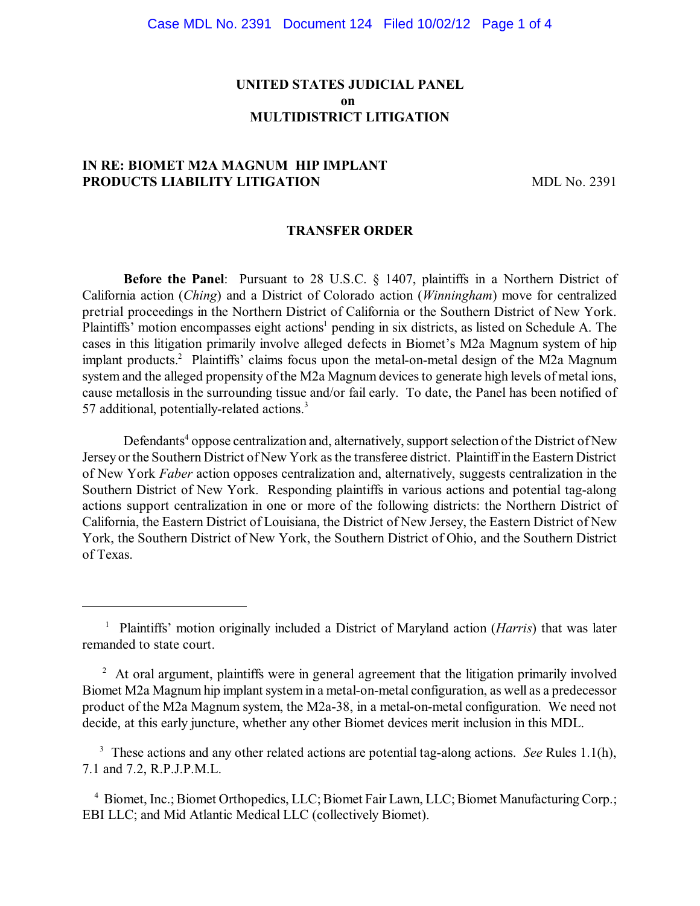### **UNITED STATES JUDICIAL PANEL on MULTIDISTRICT LITIGATION**

# **IN RE: BIOMET M2A MAGNUM HIP IMPLANT PRODUCTS LIABILITY LITIGATION** MDL No. 2391

#### **TRANSFER ORDER**

**Before the Panel**: Pursuant to 28 U.S.C. § 1407, plaintiffs in a Northern District of California action (*Ching*) and a District of Colorado action (*Winningham*) move for centralized pretrial proceedings in the Northern District of California or the Southern District of New York. Plaintiffs' motion encompasses eight actions<sup>1</sup> pending in six districts, as listed on Schedule A. The cases in this litigation primarily involve alleged defects in Biomet's M2a Magnum system of hip implant products.<sup>2</sup> Plaintiffs' claims focus upon the metal-on-metal design of the M2a Magnum system and the alleged propensity of the M2a Magnum devices to generate high levels of metal ions, cause metallosis in the surrounding tissue and/or fail early. To date, the Panel has been notified of 57 additional, potentially-related actions. 3

Defendants<sup>4</sup> oppose centralization and, alternatively, support selection of the District of New Jersey or the Southern District of New York asthe transferee district. Plaintiffin the Eastern District of New York *Faber* action opposes centralization and, alternatively, suggests centralization in the Southern District of New York. Responding plaintiffs in various actions and potential tag-along actions support centralization in one or more of the following districts: the Northern District of California, the Eastern District of Louisiana, the District of New Jersey, the Eastern District of New York, the Southern District of New York, the Southern District of Ohio, and the Southern District of Texas.

<sup>&</sup>lt;sup>1</sup> Plaintiffs' motion originally included a District of Maryland action (*Harris*) that was later remanded to state court.

<sup>&</sup>lt;sup>2</sup> At oral argument, plaintiffs were in general agreement that the litigation primarily involved Biomet M2a Magnum hip implant systemin a metal-on-metal configuration, as well as a predecessor product of the M2a Magnum system, the M2a-38, in a metal-on-metal configuration. We need not decide, at this early juncture, whether any other Biomet devices merit inclusion in this MDL.

<sup>&</sup>lt;sup>3</sup> These actions and any other related actions are potential tag-along actions. *See* Rules 1.1(h), 7.1 and 7.2, R.P.J.P.M.L.

<sup>&</sup>lt;sup>4</sup> Biomet, Inc.; Biomet Orthopedics, LLC; Biomet Fair Lawn, LLC; Biomet Manufacturing Corp.; EBI LLC; and Mid Atlantic Medical LLC (collectively Biomet).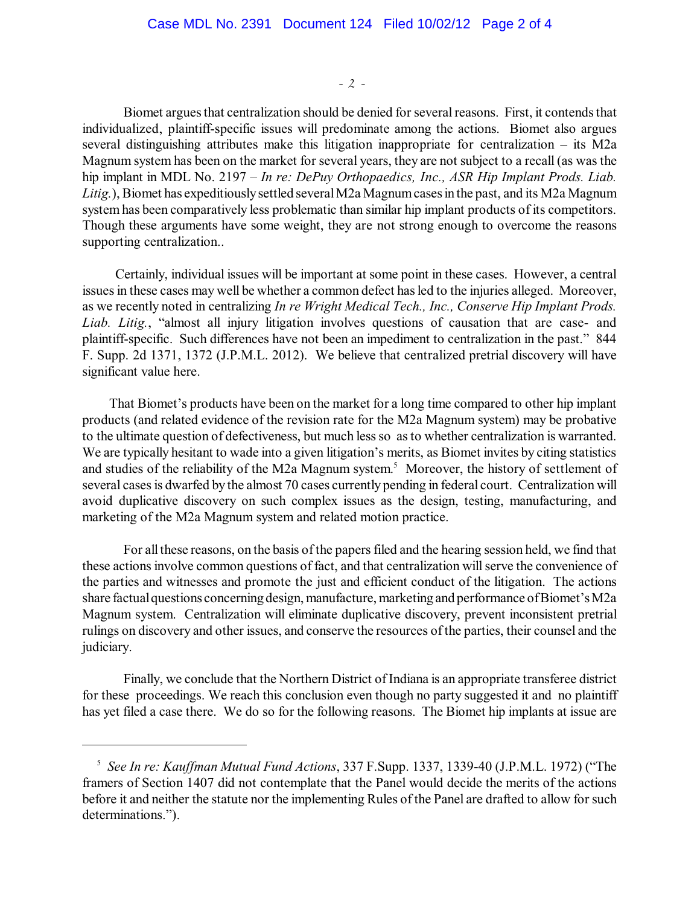- 2 -

Biomet argues that centralization should be denied for several reasons. First, it contends that individualized, plaintiff-specific issues will predominate among the actions. Biomet also argues several distinguishing attributes make this litigation inappropriate for centralization – its M2a Magnum system has been on the market for several years, they are not subject to a recall (as was the hip implant in MDL No. 2197 – *In re: DePuy Orthopaedics, Inc., ASR Hip Implant Prods. Liab.* Litig.), Biomet has expeditiously settled several M2a Magnum cases in the past, and its M2a Magnum systemhas been comparatively less problematic than similar hip implant products of its competitors. Though these arguments have some weight, they are not strong enough to overcome the reasons supporting centralization..

Certainly, individual issues will be important at some point in these cases. However, a central issues in these cases may well be whether a common defect has led to the injuries alleged. Moreover, as we recently noted in centralizing *In re Wright Medical Tech., Inc., Conserve Hip Implant Prods. Liab. Litig.*, "almost all injury litigation involves questions of causation that are case- and plaintiff-specific. Such differences have not been an impediment to centralization in the past." 844 F. Supp. 2d 1371, 1372 (J.P.M.L. 2012). We believe that centralized pretrial discovery will have significant value here.

That Biomet's products have been on the market for a long time compared to other hip implant products (and related evidence of the revision rate for the M2a Magnum system) may be probative to the ultimate question of defectiveness, but much less so as to whether centralization is warranted. We are typically hesitant to wade into a given litigation's merits, as Biomet invites by citing statistics and studies of the reliability of the M2a Magnum system.<sup>5</sup> Moreover, the history of settlement of several cases is dwarfed by the almost 70 cases currently pending in federal court. Centralization will avoid duplicative discovery on such complex issues as the design, testing, manufacturing, and marketing of the M2a Magnum system and related motion practice.

For all these reasons, on the basis of the papers filed and the hearing session held, we find that these actions involve common questions of fact, and that centralization will serve the convenience of the parties and witnesses and promote the just and efficient conduct of the litigation. The actions share factual questions concerning design, manufacture, marketing and performance of Biomet's M2a Magnum system. Centralization will eliminate duplicative discovery, prevent inconsistent pretrial rulings on discovery and other issues, and conserve the resources of the parties, their counsel and the judiciary.

Finally, we conclude that the Northern District of Indiana is an appropriate transferee district for these proceedings. We reach this conclusion even though no party suggested it and no plaintiff has yet filed a case there. We do so for the following reasons. The Biomet hip implants at issue are

*See In re: Kauffman Mutual Fund Actions*, 337 F.Supp. 1337, 1339-40 (J.P.M.L. 1972) ("The 5 framers of Section 1407 did not contemplate that the Panel would decide the merits of the actions before it and neither the statute nor the implementing Rules of the Panel are drafted to allow for such determinations.").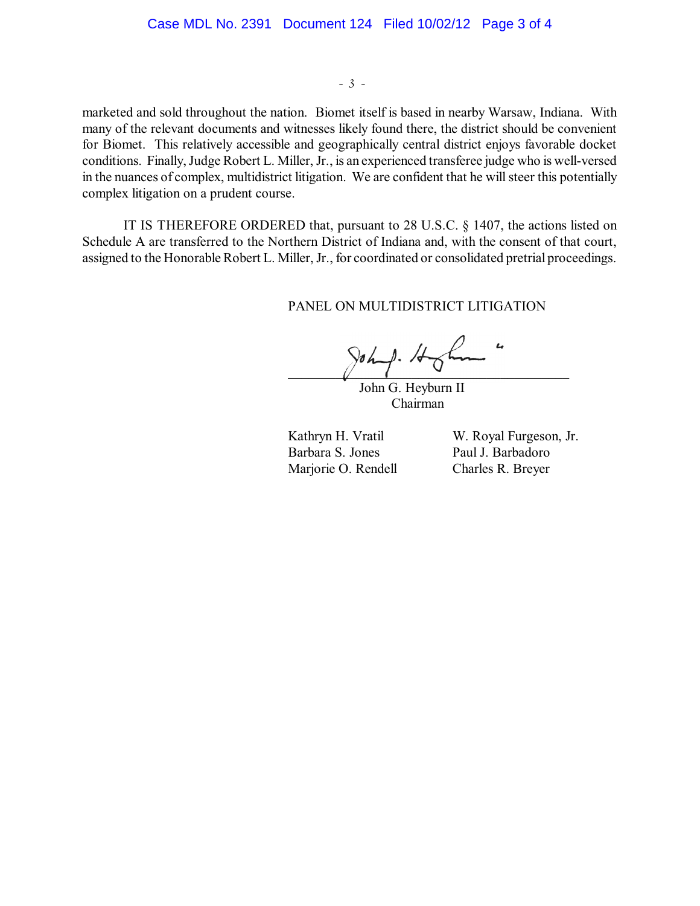- 3 -

marketed and sold throughout the nation. Biomet itself is based in nearby Warsaw, Indiana. With many of the relevant documents and witnesses likely found there, the district should be convenient for Biomet. This relatively accessible and geographically central district enjoys favorable docket conditions. Finally, Judge Robert L. Miller, Jr., is an experienced transferee judge who is well-versed in the nuances of complex, multidistrict litigation. We are confident that he will steer this potentially complex litigation on a prudent course.

IT IS THEREFORE ORDERED that, pursuant to 28 U.S.C. § 1407, the actions listed on Schedule A are transferred to the Northern District of Indiana and, with the consent of that court, assigned to the Honorable Robert L. Miller, Jr., for coordinated or consolidated pretrial proceedings.

PANEL ON MULTIDISTRICT LITIGATION

 $\gamma$ ohit.

John G. Heyburn II Chairman

Barbara S. Jones Paul J. Barbadoro Marjorie O. Rendell Charles R. Breyer

Kathryn H. Vratil W. Royal Furgeson, Jr.